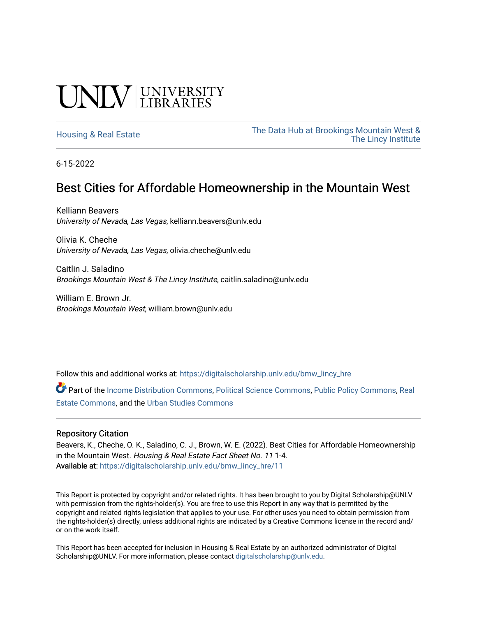## **SALV UNIVERSITY**

[Housing & Real Estate](https://digitalscholarship.unlv.edu/bmw_lincy_hre) The Data Hub at Brookings Mountain West & [The Lincy Institute](https://digitalscholarship.unlv.edu/bmw_lincy_datahub) 

6-15-2022

#### Best Cities for Affordable Homeownership in the Mountain West

Kelliann Beavers University of Nevada, Las Vegas, kelliann.beavers@unlv.edu

Olivia K. Cheche University of Nevada, Las Vegas, olivia.cheche@unlv.edu

Caitlin J. Saladino Brookings Mountain West & The Lincy Institute, caitlin.saladino@unlv.edu

William E. Brown Jr. Brookings Mountain West, william.brown@unlv.edu

Follow this and additional works at: [https://digitalscholarship.unlv.edu/bmw\\_lincy\\_hre](https://digitalscholarship.unlv.edu/bmw_lincy_hre?utm_source=digitalscholarship.unlv.edu%2Fbmw_lincy_hre%2F11&utm_medium=PDF&utm_campaign=PDFCoverPages)

Part of the [Income Distribution Commons,](https://network.bepress.com/hgg/discipline/1269?utm_source=digitalscholarship.unlv.edu%2Fbmw_lincy_hre%2F11&utm_medium=PDF&utm_campaign=PDFCoverPages) [Political Science Commons,](https://network.bepress.com/hgg/discipline/386?utm_source=digitalscholarship.unlv.edu%2Fbmw_lincy_hre%2F11&utm_medium=PDF&utm_campaign=PDFCoverPages) [Public Policy Commons,](https://network.bepress.com/hgg/discipline/400?utm_source=digitalscholarship.unlv.edu%2Fbmw_lincy_hre%2F11&utm_medium=PDF&utm_campaign=PDFCoverPages) [Real](https://network.bepress.com/hgg/discipline/641?utm_source=digitalscholarship.unlv.edu%2Fbmw_lincy_hre%2F11&utm_medium=PDF&utm_campaign=PDFCoverPages) [Estate Commons,](https://network.bepress.com/hgg/discipline/641?utm_source=digitalscholarship.unlv.edu%2Fbmw_lincy_hre%2F11&utm_medium=PDF&utm_campaign=PDFCoverPages) and the [Urban Studies Commons](https://network.bepress.com/hgg/discipline/402?utm_source=digitalscholarship.unlv.edu%2Fbmw_lincy_hre%2F11&utm_medium=PDF&utm_campaign=PDFCoverPages) 

#### Repository Citation

Beavers, K., Cheche, O. K., Saladino, C. J., Brown, W. E. (2022). Best Cities for Affordable Homeownership in the Mountain West. Housing & Real Estate Fact Sheet No. 11 1-4. Available at: [https://digitalscholarship.unlv.edu/bmw\\_lincy\\_hre/11](https://digitalscholarship.unlv.edu/bmw_lincy_hre/11) 

This Report is protected by copyright and/or related rights. It has been brought to you by Digital Scholarship@UNLV with permission from the rights-holder(s). You are free to use this Report in any way that is permitted by the copyright and related rights legislation that applies to your use. For other uses you need to obtain permission from the rights-holder(s) directly, unless additional rights are indicated by a Creative Commons license in the record and/ or on the work itself.

This Report has been accepted for inclusion in Housing & Real Estate by an authorized administrator of Digital Scholarship@UNLV. For more information, please contact [digitalscholarship@unlv.edu.](mailto:digitalscholarship@unlv.edu)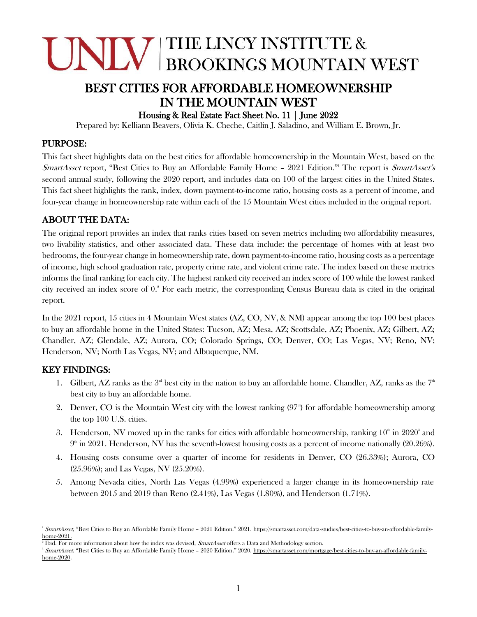# **CINITY BROOKINGS MOUNTAIN WEST**

### BEST CITIES FOR AFFORDABLE HOMEOWNERSHIP IN THE MOUNTAIN WEST

#### Housing & Real Estate Fact Sheet No. 11 | June 2022

Prepared by: Kelliann Beavers, Olivia K. Cheche, Caitlin J. Saladino, and William E. Brown, Jr.

#### PURPOSE:

This fact sheet highlights data on the best cities for affordable homeownership in the Mountain West, based on the SmartAsset report, "Best Cities to Buy an Affordable Family Home - 2021 Edition." The report is SmartAsset's second annual study, following the 2020 report, and includes data on 100 of the largest cities in the United States. This fact sheet highlights the rank, index, down payment-to-income ratio, housing costs as a percent of income, and four-year change in homeownership rate within each of the 15 Mountain West cities included in the original report.

#### ABOUT THE DATA:

The original report provides an index that ranks cities based on seven metrics including two affordability measures, two livability statistics, and other associated data. These data include: the percentage of homes with at least two bedrooms, the four-year change in homeownership rate, down payment-to-income ratio, housing costs as a percentage of income, high school graduation rate, property crime rate, and violent crime rate. The index based on these metrics informs the final ranking for each city. The highest ranked city received an index score of 100 while the lowest ranked city received an index score of 0.<sup>2</sup> For each metric, the corresponding Census Bureau data is cited in the original report.

In the 2021 report, 15 cities in 4 Mountain West states (AZ, CO, NV, & NM) appear among the top 100 best places to buy an affordable home in the United States: Tucson, AZ; Mesa, AZ; Scottsdale, AZ; Phoenix, AZ; Gilbert, AZ; Chandler, AZ; Glendale, AZ; Aurora, CO; Colorado Springs, CO; Denver, CO; Las Vegas, NV; Reno, NV; Henderson, NV; North Las Vegas, NV; and Albuquerque, NM.

#### KEY FINDINGS:

- 1. Gilbert, AZ ranks as the  $3<sup>rd</sup>$  best city in the nation to buy an affordable home. Chandler, AZ, ranks as the  $7<sup>th</sup>$ best city to buy an affordable home.
- 2. Denver, CO is the Mountain West city with the lowest ranking  $(97<sup>th</sup>)$  for affordable homeownership among the top 100 U.S. cities.
- 3. Henderson, NV moved up in the ranks for cities with affordable homeownership, ranking  $10<sup>th</sup>$  in  $2020<sup>3</sup>$  and  $9<sup>th</sup>$  in 2021. Henderson, NV has the seventh-lowest housing costs as a percent of income nationally (20.26%).
- 4. Housing costs consume over a quarter of income for residents in Denver, CO (26.33%); Aurora, CO (25.96%); and Las Vegas, NV (25.20%).
- 5. Among Nevada cities, North Las Vegas (4.99%) experienced a larger change in its homeownership rate between 2015 and 2019 than Reno (2.41%), Las Vegas (1.80%), and Henderson (1.71%).

<sup>&</sup>lt;sup>1</sup> SmartAsset, "Best Cities to Buy an Affordable Family Home - 2021 Edition." 2021. [https://smartasset.com/data-studies/best-cities-to-buy-an-affordable-family](https://smartasset.com/data-studies/best-cities-to-buy-an-affordable-family-home-2021)[home-2021.](https://smartasset.com/data-studies/best-cities-to-buy-an-affordable-family-home-2021)

<sup>&</sup>lt;sup>2</sup> Ibid. For more information about how the index was devised, *SmartAsset* offers a Data and Methodology section.

<sup>&</sup>lt;sup>3</sup> SmartAsset. "Best Cities to Buy an Affordable Family Home – 2020 Edition." 2020. [https://smartasset.com/mortgage/best-cities-to-buy-an-affordable-family](https://smartasset.com/mortgage/best-cities-to-buy-an-affordable-family-home-2020)[home-2020.](https://smartasset.com/mortgage/best-cities-to-buy-an-affordable-family-home-2020)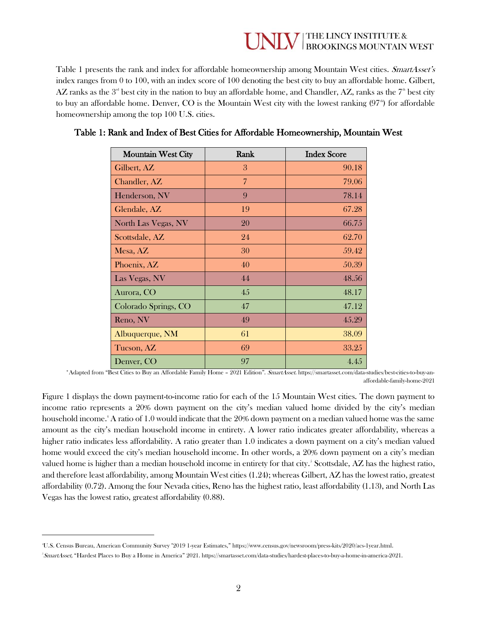## THE LINCY INSTITUTE &<br>| BROOKINGS MOUNTAIN WEST

Table 1 presents the rank and index for affordable homeownership among Mountain West cities. SmartAsset's index ranges from 0 to 100, with an index score of 100 denoting the best city to buy an affordable home. Gilbert,  $AZ$  ranks as the  $3<sup>nd</sup>$  best city in the nation to buy an affordable home, and Chandler, AZ, ranks as the  $7<sup>th</sup>$  best city to buy an affordable home. Denver, CO is the Mountain West city with the lowest ranking  $(97<sup>th</sup>)$  for affordable homeownership among the top 100 U.S. cities.

| <b>Mountain West City</b> | Rank           | <b>Index Score</b> |
|---------------------------|----------------|--------------------|
| Gilbert, AZ               | 3              | 90.18              |
| Chandler, AZ              | $\overline{7}$ | 79.06              |
| Henderson, NV             | 9              | 78.14              |
| Glendale, AZ              | 19             | 67.28              |
| North Las Vegas, NV       | 20             | 66.75              |
| Scottsdale, AZ            | 24             | 62.70              |
| Mesa, AZ                  | 30             | 59.42              |
| Phoenix, AZ               | 40             | 50.39              |
| Las Vegas, NV             | 44             | 48.56              |
| Aurora, CO                | 45             | 48.17              |
| Colorado Springs, CO      | 47             | 47.12              |
| Reno, NV                  | 49             | 45.29              |
| Albuquerque, NM           | 61             | 38.09              |
| Tucson, AZ                | 69             | 33.25              |
| Denver, CO                | 97             | 4.45               |

#### Table 1: Rank and Index of Best Cities for Affordable Homeownership, Mountain West

\*Adapted from "Best Cities to Buy an Affordable Family Home – 2021 Edition". SmartAsset. [https://smartasset.com/data-studies/best-cities-to-buy-an](https://smartasset.com/data-studies/best-cities-to-buy-an-affordable-family-home-2021)[affordable-family-home-2021](https://smartasset.com/data-studies/best-cities-to-buy-an-affordable-family-home-2021)

Figure 1 displays the down payment-to-income ratio for each of the 15 Mountain West cities. The down payment to income ratio represents a 20% down payment on the city's median valued home divided by the city's median household income.<sup>4</sup> A ratio of 1.0 would indicate that the 20% down payment on a median valued home was the same amount as the city's median household income in entirety. A lower ratio indicates greater affordability, whereas a higher ratio indicates less affordability. A ratio greater than 1.0 indicates a down payment on a city's median valued home would exceed the city's median household income. In other words, a 20% down payment on a city's median valued home is higher than a median household income in entirety for that city. 5 Scottsdale, AZ has the highest ratio, and therefore least affordability, among Mountain West cities (1.24); whereas Gilbert, AZ has the lowest ratio, greatest affordability (0.72). Among the four Nevada cities, Reno has the highest ratio, least affordability (1.13), and North Las Vegas has the lowest ratio, greatest affordability (0.88).

<sup>4</sup>U.S. Census Bureau, American Community Survey "2019 1-year Estimates," https://www.census.gov/newsroom/press-kits/2020/acs-1year.html.

<sup>5</sup> SmartAsset, "Hardest Places to Buy a Home in America" 2021. https://smartasset.com/data-studies/hardest-places-to-buy-a-home-in-america-2021.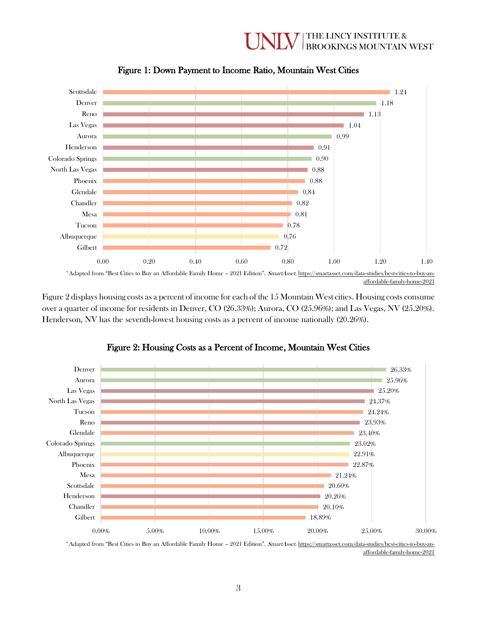#### THE LINCY INSTITUTE & BROOKINGS MOUNTAIN WEST



Figure 1: Down Payment to Income Ratio, Mountain West Cities

\*Adapted from "Best Cities to Buy an Affordable Family Home - 2021 Edition". SmartAsset. [https://smartasset.com/data-studies/best-cities-to-buy-an](https://smartasset.com/data-studies/best-cities-to-buy-an-affordable-family-home-2021)[affordable-family-home-2021](https://smartasset.com/data-studies/best-cities-to-buy-an-affordable-family-home-2021)

Figure 2 displays housing costs as a percent of income for each of the 15 Mountain West cities. Housing costs consume over a quarter of income for residents in Denver, CO (26.33%); Aurora, CO (25.96%); and Las Vegas, NV (25.20%). Henderson, NV has the seventh-lowest housing costs as a percent of income nationally (20.26%).



Figure 2: Housing Costs as a Percent of Income, Mountain West Cities

\*Adapted from "Best Cities to Buy an Affordable Family Home - 2021 Edition". SmartAsset. [https://smartasset.com/data-studies/best-cities-to-buy-an](https://smartasset.com/data-studies/best-cities-to-buy-an-affordable-family-home-2021)[affordable-family-home-2021](https://smartasset.com/data-studies/best-cities-to-buy-an-affordable-family-home-2021)